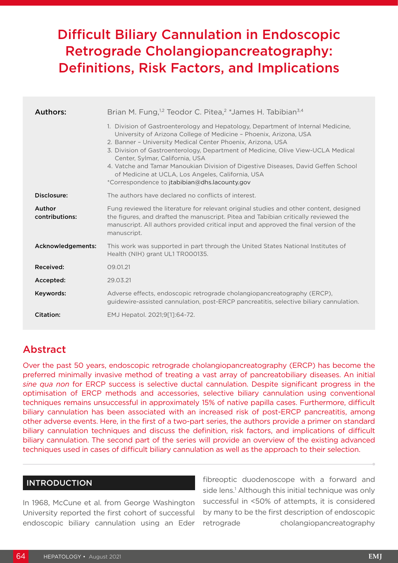# Difficult Biliary Cannulation in Endoscopic Retrograde Cholangiopancreatography: Definitions, Risk Factors, and Implications

| Authors:                 | Brian M. Fung, <sup>1,2</sup> Teodor C. Pitea, <sup>2</sup> *James H. Tabibian <sup>3,4</sup>                                                                                                                                                                                                                                                                                                                                                                                                                                          |
|--------------------------|----------------------------------------------------------------------------------------------------------------------------------------------------------------------------------------------------------------------------------------------------------------------------------------------------------------------------------------------------------------------------------------------------------------------------------------------------------------------------------------------------------------------------------------|
|                          | 1. Division of Gastroenterology and Hepatology, Department of Internal Medicine,<br>University of Arizona College of Medicine - Phoenix, Arizona, USA<br>2. Banner - University Medical Center Phoenix, Arizona, USA<br>3. Division of Gastroenterology, Department of Medicine, Olive View-UCLA Medical<br>Center, Sylmar, California, USA<br>4. Vatche and Tamar Manoukian Division of Digestive Diseases, David Geffen School<br>of Medicine at UCLA, Los Angeles, California, USA<br>*Correspondence to jtabibian@dhs.lacounty.gov |
| Disclosure:              | The authors have declared no conflicts of interest.                                                                                                                                                                                                                                                                                                                                                                                                                                                                                    |
| Author<br>contributions: | Fung reviewed the literature for relevant original studies and other content, designed<br>the figures, and drafted the manuscript. Pitea and Tabibian critically reviewed the<br>manuscript. All authors provided critical input and approved the final version of the<br>manuscript.                                                                                                                                                                                                                                                  |
| Acknowledgements:        | This work was supported in part through the United States National Institutes of<br>Health (NIH) grant UL1 TR000135.                                                                                                                                                                                                                                                                                                                                                                                                                   |
| Received:                | 09.01.21                                                                                                                                                                                                                                                                                                                                                                                                                                                                                                                               |
| Accepted:                | 29.03.21                                                                                                                                                                                                                                                                                                                                                                                                                                                                                                                               |
| Keywords:                | Adverse effects, endoscopic retrograde cholangiopancreatography (ERCP),<br>guidewire-assisted cannulation, post-ERCP pancreatitis, selective biliary cannulation.                                                                                                                                                                                                                                                                                                                                                                      |
| Citation:                | EMJ Hepatol. 2021;9[1]:64-72.                                                                                                                                                                                                                                                                                                                                                                                                                                                                                                          |

## Abstract

Over the past 50 years, endoscopic retrograde cholangiopancreatography (ERCP) has become the preferred minimally invasive method of treating a vast array of pancreatobiliary diseases. An initial *sine qua non* for ERCP success is selective ductal cannulation. Despite significant progress in the optimisation of ERCP methods and accessories, selective biliary cannulation using conventional techniques remains unsuccessful in approximately 15% of native papilla cases. Furthermore, difficult biliary cannulation has been associated with an increased risk of post-ERCP pancreatitis, among other adverse events. Here, in the first of a two-part series, the authors provide a primer on standard biliary cannulation techniques and discuss the definition, risk factors, and implications of difficult biliary cannulation. The second part of the series will provide an overview of the existing advanced techniques used in cases of difficult biliary cannulation as well as the approach to their selection.

#### INTRODUCTION

In 1968, McCune et al. from George Washington University reported the first cohort of successful endoscopic biliary cannulation using an Eder

fibreoptic duodenoscope with a forward and side lens.<sup>1</sup> Although this initial technique was only successful in <50% of attempts, it is considered by many to be the first description of endoscopic retrograde cholangiopancreatography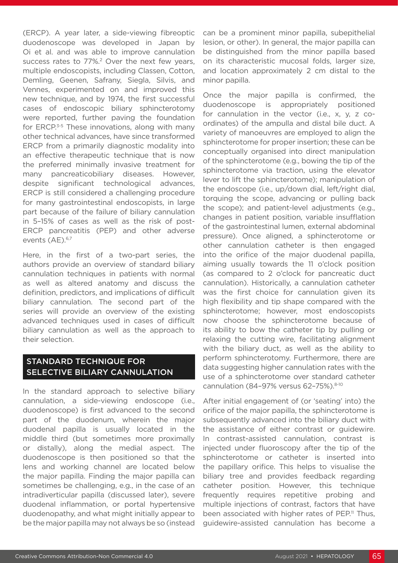(ERCP). A year later, a side-viewing fibreoptic duodenoscope was developed in Japan by Oi et al. and was able to improve cannulation success rates to 77%.<sup>2</sup> Over the next few years, multiple endoscopists, including Classen, Cotton, Demling, Geenen, Safrany, Siegla, Silvis, and Vennes, experimented on and improved this new technique, and by 1974, the first successful cases of endoscopic biliary sphincterotomy were reported, further paving the foundation for ERCP.<sup>3-5</sup> These innovations, along with many other technical advances, have since transformed ERCP from a primarily diagnostic modality into an effective therapeutic technique that is now the preferred minimally invasive treatment for many pancreaticobiliary diseases. However, despite significant technological advances, ERCP is still considered a challenging procedure for many gastrointestinal endoscopists, in large part because of the failure of biliary cannulation in 5–15% of cases as well as the risk of post-ERCP pancreatitis (PEP) and other adverse events (AE).<sup>6,7</sup>

Here, in the first of a two-part series, the authors provide an overview of standard biliary cannulation techniques in patients with normal as well as altered anatomy and discuss the definition, predictors, and implications of difficult biliary cannulation. The second part of the series will provide an overview of the existing advanced techniques used in cases of difficult biliary cannulation as well as the approach to their selection.

#### STANDARD TECHNIQUE FOR SELECTIVE BILIARY CANNULATION

In the standard approach to selective biliary cannulation, a side-viewing endoscope (i.e., duodenoscope) is first advanced to the second part of the duodenum, wherein the major duodenal papilla is usually located in the middle third (but sometimes more proximally or distally), along the medial aspect. The duodenoscope is then positioned so that the lens and working channel are located below the major papilla. Finding the major papilla can sometimes be challenging, e.g., in the case of an intradiverticular papilla (discussed later), severe duodenal inflammation, or portal hypertensive duodenopathy, and what might initially appear to be the major papilla may not always be so (instead

can be a prominent minor papilla, subepithelial lesion, or other). In general, the major papilla can be distinguished from the minor papilla based on its characteristic mucosal folds, larger size, and location approximately 2 cm distal to the minor papilla.

Once the major papilla is confirmed, the duodenoscope is appropriately positioned for cannulation in the vector (i.e., x, y, z coordinates) of the ampulla and distal bile duct. A variety of manoeuvres are employed to align the sphincterotome for proper insertion; these can be conceptually organised into direct manipulation of the sphincterotome (e.g., bowing the tip of the sphincterotome via traction, using the elevator lever to lift the sphincterotome); manipulation of the endoscope (i.e., up/down dial, left/right dial, torquing the scope, advancing or pulling back the scope); and patient-level adjustments (e.g., changes in patient position, variable insufflation of the gastrointestinal lumen, external abdominal pressure). Once aligned, a sphincterotome or other cannulation catheter is then engaged into the orifice of the major duodenal papilla, aiming usually towards the 11 o'clock position (as compared to 2 o'clock for pancreatic duct cannulation). Historically, a cannulation catheter was the first choice for cannulation given its high flexibility and tip shape compared with the sphincterotome; however, most endoscopists now choose the sphincterotome because of its ability to bow the catheter tip by pulling or relaxing the cutting wire, facilitating alignment with the biliary duct, as well as the ability to perform sphincterotomy. Furthermore, there are data suggesting higher cannulation rates with the use of a sphincterotome over standard catheter cannulation (84–97% versus 62–75%).8-10

After initial engagement of (or 'seating' into) the orifice of the major papilla, the sphincterotome is subsequently advanced into the biliary duct with the assistance of either contrast or guidewire. In contrast-assisted cannulation, contrast is injected under fluoroscopy after the tip of the sphincterotome or catheter is inserted into the papillary orifice. This helps to visualise the biliary tree and provides feedback regarding catheter position. However, this technique frequently requires repetitive probing and multiple injections of contrast, factors that have been associated with higher rates of PEP.<sup>11</sup> Thus, guidewire-assisted cannulation has become a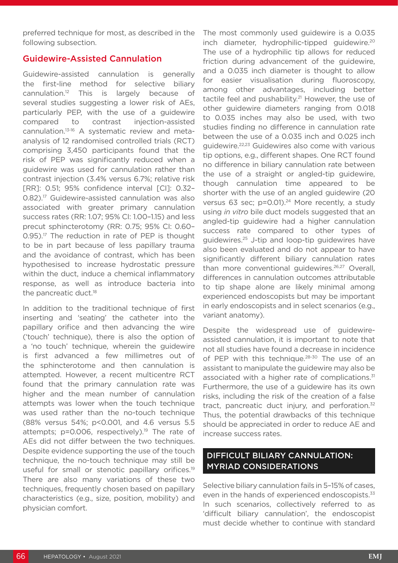preferred technique for most, as described in the following subsection.

#### Guidewire-Assisted Cannulation

Guidewire-assisted cannulation is generally the first-line method for selective biliary cannulation.12 This is largely because of several studies suggesting a lower risk of AEs, particularly PEP, with the use of a guidewire compared to contrast injection-assisted cannulation.13-16 A systematic review and metaanalysis of 12 randomised controlled trials (RCT) comprising 3,450 participants found that the risk of PEP was significantly reduced when a guidewire was used for cannulation rather than contrast injection (3.4% versus 6.7%; relative risk [RR]: 0.51; 95% confidence interval [CI]: 0.32– 0.82).<sup>17</sup> Guidewire-assisted cannulation was also associated with greater primary cannulation success rates (RR: 1.07; 95% CI: 1.00–1.15) and less precut sphincterotomy (RR: 0.75; 95% CI: 0.60–  $0.95$ )<sup>17</sup> The reduction in rate of PEP is thought to be in part because of less papillary trauma and the avoidance of contrast, which has been hypothesised to increase hydrostatic pressure within the duct, induce a chemical inflammatory response, as well as introduce bacteria into the pancreatic duct.<sup>18</sup>

In addition to the traditional technique of first inserting and 'seating' the catheter into the papillary orifice and then advancing the wire ('touch' technique), there is also the option of a 'no touch' technique, wherein the guidewire is first advanced a few millimetres out of the sphincterotome and then cannulation is attempted. However, a recent multicentre RCT found that the primary cannulation rate was higher and the mean number of cannulation attempts was lower when the touch technique was used rather than the no-touch technique (88% versus 54%; p<0.001, and 4.6 versus 5.5 attempts;  $p=0.006$ , respectively).<sup>19</sup> The rate of AEs did not differ between the two techniques. Despite evidence supporting the use of the touch technique, the no-touch technique may still be useful for small or stenotic papillary orifices.<sup>19</sup> There are also many variations of these two techniques, frequently chosen based on papillary characteristics (e.g., size, position, mobility) and physician comfort.

The most commonly used guidewire is a 0.035 inch diameter, hydrophilic-tipped guidewire.20 The use of a hydrophilic tip allows for reduced friction during advancement of the guidewire, and a 0.035 inch diameter is thought to allow for easier visualisation during fluoroscopy, among other advantages, including better tactile feel and pushability.<sup>21</sup> However, the use of other guidewire diameters ranging from 0.018 to 0.035 inches may also be used, with two studies finding no difference in cannulation rate between the use of a 0.035 inch and 0.025 inch guidewire.22,23 Guidewires also come with various tip options, e.g., different shapes. One RCT found no difference in biliary cannulation rate between the use of a straight or angled-tip guidewire, though cannulation time appeared to be shorter with the use of an angled guidewire (20 versus 63 sec; p=0.01).<sup>24</sup> More recently, a study using *in vitro* bile duct models suggested that an angled-tip guidewire had a higher cannulation success rate compared to other types of guidewires.25 J-tip and loop-tip guidewires have also been evaluated and do not appear to have significantly different biliary cannulation rates than more conventional quidewires.<sup>26,27</sup> Overall, differences in cannulation outcomes attributable to tip shape alone are likely minimal among experienced endoscopists but may be important in early endoscopists and in select scenarios (e.g., variant anatomy).

Despite the widespread use of guidewireassisted cannulation, it is important to note that not all studies have found a decrease in incidence of PEP with this technique.<sup>28-30</sup> The use of an assistant to manipulate the guidewire may also be associated with a higher rate of complications.<sup>31</sup> Furthermore, the use of a guidewire has its own risks, including the risk of the creation of a false tract, pancreatic duct injury, and perforation.<sup>32</sup> Thus, the potential drawbacks of this technique should be appreciated in order to reduce AE and increase success rates.

## DIFFICULT BILIARY CANNULATION: MYRIAD CONSIDERATIONS

Selective biliary cannulation fails in 5–15% of cases, even in the hands of experienced endoscopists.<sup>33</sup> In such scenarios, collectively referred to as 'difficult biliary cannulation', the endoscopist must decide whether to continue with standard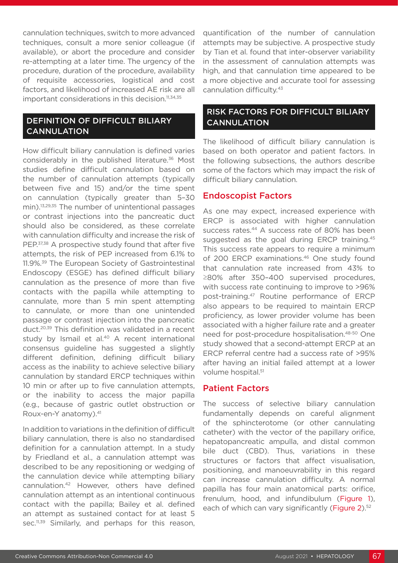cannulation techniques, switch to more advanced techniques, consult a more senior colleague (if available), or abort the procedure and consider re-attempting at a later time. The urgency of the procedure, duration of the procedure, availability of requisite accessories, logistical and cost factors, and likelihood of increased AE risk are all important considerations in this decision.<sup>11,34,35</sup>

### DEFINITION OF DIFFICULT BILIARY CANNULATION

How difficult biliary cannulation is defined varies considerably in the published literature.<sup>36</sup> Most studies define difficult cannulation based on the number of cannulation attempts (typically between five and 15) and/or the time spent on cannulation (typically greater than 5–30 min).13,29,35 The number of unintentional passages or contrast injections into the pancreatic duct should also be considered, as these correlate with cannulation difficulty and increase the risk of PEP.<sup>37,38</sup> A prospective study found that after five attempts, the risk of PEP increased from 6.1% to 11.9%.39 The European Society of Gastrointestinal Endoscopy (ESGE) has defined difficult biliary cannulation as the presence of more than five contacts with the papilla while attempting to cannulate, more than 5 min spent attempting to cannulate, or more than one unintended passage or contrast injection into the pancreatic duct.20,39 This definition was validated in a recent study by Ismail et al.<sup>40</sup> A recent international consensus guideline has suggested a slightly different definition, defining difficult biliary access as the inability to achieve selective biliary cannulation by standard ERCP techniques within 10 min or after up to five cannulation attempts, or the inability to access the major papilla (e.g., because of gastric outlet obstruction or Roux-en-Y anatomy).41

In addition to variations in the definition of difficult biliary cannulation, there is also no standardised definition for a cannulation attempt. In a study by Friedland et al., a cannulation attempt was described to be any repositioning or wedging of the cannulation device while attempting biliary cannulation.42 However, others have defined cannulation attempt as an intentional continuous contact with the papilla; Bailey et al. defined an attempt as sustained contact for at least 5 sec.<sup>11,39</sup> Similarly, and perhaps for this reason,

quantification of the number of cannulation attempts may be subjective. A prospective study by Tian et al. found that inter-observer variability in the assessment of cannulation attempts was high, and that cannulation time appeared to be a more objective and accurate tool for assessing cannulation difficulty.43

#### RISK FACTORS FOR DIFFICULT BILIARY CANNULATION

The likelihood of difficult biliary cannulation is based on both operator and patient factors. In the following subsections, the authors describe some of the factors which may impact the risk of difficult biliary cannulation.

#### Endoscopist Factors

As one may expect, increased experience with ERCP is associated with higher cannulation success rates.<sup>44</sup> A success rate of 80% has been suggested as the goal during ERCP training.<sup>45</sup> This success rate appears to require a minimum of 200 ERCP examinations.<sup>46</sup> One study found that cannulation rate increased from 43% to ≥80% after 350–400 supervised procedures, with success rate continuing to improve to >96% post-training.47 Routine performance of ERCP also appears to be required to maintain ERCP proficiency, as lower provider volume has been associated with a higher failure rate and a greater need for post-procedure hospitalisation.<sup>48-50</sup> One study showed that a second-attempt ERCP at an ERCP referral centre had a success rate of >95% after having an initial failed attempt at a lower volume hospital.<sup>51</sup>

#### Patient Factors

The success of selective biliary cannulation fundamentally depends on careful alignment of the sphincterotome (or other cannulating catheter) with the vector of the papillary orifice, hepatopancreatic ampulla, and distal common bile duct (CBD). Thus, variations in these structures or factors that affect visualisation, positioning, and manoeuvrability in this regard can increase cannulation difficulty. A normal papilla has four main anatomical parts: orifice, frenulum, hood, and infundibulum (Figure 1), each of which can vary significantly (Figure 2).<sup>52</sup>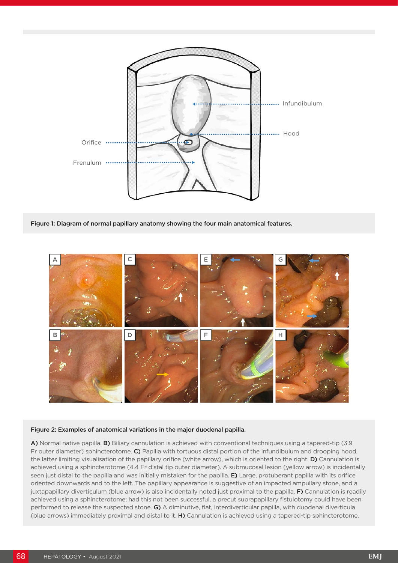

Figure 1: Diagram of normal papillary anatomy showing the four main anatomical features.



#### Figure 2: Examples of anatomical variations in the major duodenal papilla.

A) Normal native papilla. B) Biliary cannulation is achieved with conventional techniques using a tapered-tip (3.9 Fr outer diameter) sphincterotome. C) Papilla with tortuous distal portion of the infundibulum and drooping hood, the latter limiting visualisation of the papillary orifice (white arrow), which is oriented to the right. D) Cannulation is achieved using a sphincterotome (4.4 Fr distal tip outer diameter). A submucosal lesion (yellow arrow) is incidentally seen just distal to the papilla and was initially mistaken for the papilla. E) Large, protuberant papilla with its orifice oriented downwards and to the left. The papillary appearance is suggestive of an impacted ampullary stone, and a juxtapapillary diverticulum (blue arrow) is also incidentally noted just proximal to the papilla. F) Cannulation is readily achieved using a sphincterotome; had this not been successful, a precut suprapapillary fistulotomy could have been performed to release the suspected stone. G) A diminutive, flat, interdiverticular papilla, with duodenal diverticula (blue arrows) immediately proximal and distal to it. H) Cannulation is achieved using a tapered-tip sphincterotome.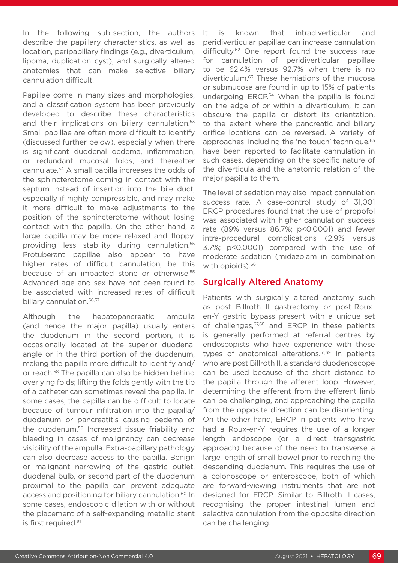In the following sub-section, the authors describe the papillary characteristics, as well as location, peripapillary findings (e.g., diverticulum, lipoma, duplication cyst), and surgically altered anatomies that can make selective biliary cannulation difficult.

Papillae come in many sizes and morphologies, and a classification system has been previously developed to describe these characteristics and their implications on biliary cannulation.<sup>53</sup> Small papillae are often more difficult to identify (discussed further below), especially when there is significant duodenal oedema, inflammation, or redundant mucosal folds, and thereafter cannulate.54 A small papilla increases the odds of the sphincterotome coming in contact with the septum instead of insertion into the bile duct, especially if highly compressible, and may make it more difficult to make adjustments to the position of the sphincterotome without losing contact with the papilla. On the other hand, a large papilla may be more relaxed and floppy, providing less stability during cannulation.55 Protuberant papillae also appear to have higher rates of difficult cannulation, be this because of an impacted stone or otherwise.<sup>55</sup> Advanced age and sex have not been found to be associated with increased rates of difficult biliary cannulation.<sup>56,57</sup>

Although the hepatopancreatic ampulla (and hence the major papilla) usually enters the duodenum in the second portion, it is occasionally located at the superior duodenal angle or in the third portion of the duodenum, making the papilla more difficult to identify and/ or reach.58 The papilla can also be hidden behind overlying folds; lifting the folds gently with the tip of a catheter can sometimes reveal the papilla. In some cases, the papilla can be difficult to locate because of tumour infiltration into the papilla/ duodenum or pancreatitis causing oedema of the duodenum.59 Increased tissue friability and bleeding in cases of malignancy can decrease visibility of the ampulla. Extra-papillary pathology can also decrease access to the papilla. Benign or malignant narrowing of the gastric outlet, duodenal bulb, or second part of the duodenum proximal to the papilla can prevent adequate access and positioning for biliary cannulation.<sup>60</sup> In some cases, endoscopic dilation with or without the placement of a self-expanding metallic stent is first required.<sup>61</sup>

It is known that intradiverticular and peridiverticular papillae can increase cannulation difficulty.<sup>62</sup> One report found the success rate for cannulation of peridiverticular papillae to be 62.4% versus 92.7% when there is no diverticulum.63 These herniations of the mucosa or submucosa are found in up to 15% of patients undergoing ERCP.<sup>64</sup> When the papilla is found on the edge of or within a diverticulum, it can obscure the papilla or distort its orientation, to the extent where the pancreatic and biliary orifice locations can be reversed. A variety of approaches, including the 'no-touch' technique,<sup>65</sup> have been reported to facilitate cannulation in such cases, depending on the specific nature of the diverticula and the anatomic relation of the major papilla to them.

The level of sedation may also impact cannulation success rate. A case-control study of 31,001 ERCP procedures found that the use of propofol was associated with higher cannulation success rate (89% versus 86.7%; p<0.0001) and fewer intra-procedural complications (2.9% versus 3.7%; p<0.0001) compared with the use of moderate sedation (midazolam in combination with opioids).<sup>66</sup>

#### Surgically Altered Anatomy

Patients with surgically altered anatomy such as post Billroth II gastrectomy or post-Rouxen-Y gastric bypass present with a unique set of challenges, <sup>67,68</sup> and ERCP in these patients is generally performed at referral centres by endoscopists who have experience with these types of anatomical alterations.<sup>51,69</sup> In patients who are post Billroth II, a standard duodenoscope can be used because of the short distance to the papilla through the afferent loop. However, determining the afferent from the efferent limb can be challenging, and approaching the papilla from the opposite direction can be disorienting. On the other hand, ERCP in patients who have had a Roux-en-Y requires the use of a longer length endoscope (or a direct transgastric approach) because of the need to transverse a large length of small bowel prior to reaching the descending duodenum. This requires the use of a colonoscope or enteroscope, both of which are forward-viewing instruments that are not designed for ERCP. Similar to Billroth II cases, recognising the proper intestinal lumen and selective cannulation from the opposite direction can be challenging.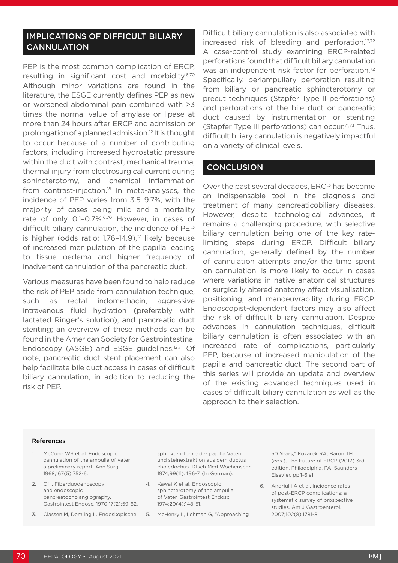#### IMPLICATIONS OF DIFFICULT BILIARY **CANNULATION**

PEP is the most common complication of ERCP, resulting in significant cost and morbidity.6,70 Although minor variations are found in the literature, the ESGE currently defines PEP as new or worsened abdominal pain combined with >3 times the normal value of amylase or lipase at more than 24 hours after ERCP and admission or prolongation of a planned admission.12 It is thought to occur because of a number of contributing factors, including increased hydrostatic pressure within the duct with contrast, mechanical trauma, thermal injury from electrosurgical current during sphincterotomy, and chemical inflammation from contrast-injection.<sup>18</sup> In meta-analyses, the incidence of PEP varies from 3.5–9.7%, with the majority of cases being mild and a mortality rate of only 0.1-0.7%.<sup>6,70</sup> However, in cases of difficult biliary cannulation, the incidence of PEP is higher (odds ratio:  $1.76-14.9$ ),<sup>12</sup> likely because of increased manipulation of the papilla leading to tissue oedema and higher frequency of inadvertent cannulation of the pancreatic duct.

Various measures have been found to help reduce the risk of PEP aside from cannulation technique, such as rectal indomethacin, aggressive intravenous fluid hydration (preferably with lactated Ringer's solution), and pancreatic duct stenting; an overview of these methods can be found in the American Society for Gastrointestinal Endoscopy (ASGE) and ESGE quidelines.<sup>12,71</sup> Of note, pancreatic duct stent placement can also help facilitate bile duct access in cases of difficult biliary cannulation, in addition to reducing the risk of PEP.

Difficult biliary cannulation is also associated with increased risk of bleeding and perforation.12,72 A case-control study examining ERCP-related perforations found that difficult biliary cannulation was an independent risk factor for perforation.<sup>72</sup> Specifically, periampullary perforation resulting from biliary or pancreatic sphincterotomy or precut techniques (Stapfer Type II perforations) and perforations of the bile duct or pancreatic duct caused by instrumentation or stenting (Stapfer Type III perforations) can occur.<sup>71,73</sup> Thus, difficult biliary cannulation is negatively impactful on a variety of clinical levels.

#### **CONCLUSION**

Over the past several decades, ERCP has become an indispensable tool in the diagnosis and treatment of many pancreaticobiliary diseases. However, despite technological advances, it remains a challenging procedure, with selective biliary cannulation being one of the key ratelimiting steps during ERCP. Difficult biliary cannulation, generally defined by the number of cannulation attempts and/or the time spent on cannulation, is more likely to occur in cases where variations in native anatomical structures or surgically altered anatomy affect visualisation, positioning, and manoeuvrability during ERCP. Endoscopist-dependent factors may also affect the risk of difficult biliary cannulation. Despite advances in cannulation techniques, difficult biliary cannulation is often associated with an increased rate of complications, particularly PEP, because of increased manipulation of the papilla and pancreatic duct. The second part of this series will provide an update and overview of the existing advanced techniques used in cases of difficult biliary cannulation as well as the approach to their selection.

#### References

- 1. McCune WS et al. Endoscopic cannulation of the ampulla of vater: a preliminary report. Ann Surg. 1968;167(5):752-6.
- 2. Oi I. Fiberduodenoscopy and endoscopic pancreatocholangiography. Gastrointest Endosc. 1970;17(2):59-62.
- 3. Classen M, Demling L. Endoskopische

sphinkterotomie der papilla Vateri und steinextraktion aus dem ductus choledochus. Dtsch Med Wochenschr. 1974;99(11):496-7. (In German).

- 4. Kawai K et al. Endoscopic sphincterotomy of the ampulla of Vater. Gastrointest Endosc. 1974;20(4):148-51.
- 5. McHenry L, Lehman G, "Approaching

50 Years," Kozarek RA, Baron TH (eds.), The Future of ERCP (2017) 3rd edition, Philadelphia, PA: Saunders-Elsevier, pp.1-6.e1.

6. Andriulli A et al. Incidence rates of post-ERCP complications: a systematic survey of prospective studies. Am J Gastroenterol. 2007;102(8):1781-8.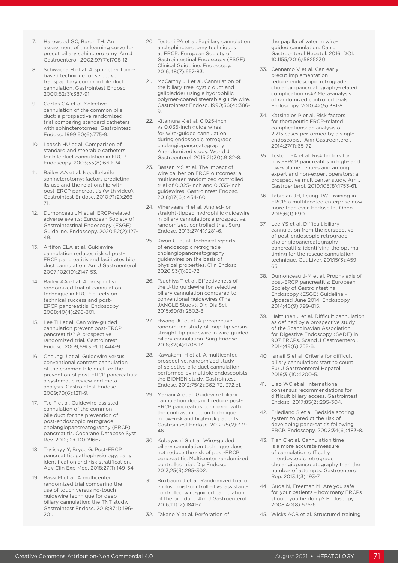- 7. Harewood GC, Baron TH. An assessment of the learning curve for precut biliary sphincterotomy. Am J Gastroenterol. 2002;97(7):1708-12.
- 8. Schwacha H et al. A sphincterotomebased technique for selective transpapillary common bile duct cannulation. Gastrointest Endosc. 2000;52(3):387-91.
- Cortas GA et al. Selective cannulation of the common bile duct: a prospective randomized trial comparing standard catheters with sphincterotomes. Gastrointest Endosc. 1999;50(6):775-9.
- 10. Laasch HU et al. Comparison of standard and steerable catheters for bile duct cannulation in ERCP. Endoscopy. 2003;35(8):669-74.
- 11. Bailey AA et al. Needle-knife sphincterotomy: factors predicting its use and the relationship with post-ERCP pancreatitis (with video). Gastrointest Endosc. 2010;71(2):266- 71.
- 12. Dumonceau JM et al. ERCP-related adverse events: European Society of Gastrointestinal Endoscopy (ESGE) Guideline. Endoscopy. 2020;52(2):127- 49.
- 13. Artifon ELA et al. Guidewire cannulation reduces risk of post-ERCP pancreatitis and facilitates bile duct cannulation. Am J Gastroenterol. 2007;102(10):2147-53.
- 14. Bailey AA et al. A prospective randomized trial of cannulation technique in ERCP: effects on technical success and post-ERCP pancreatitis. Endoscopy. 2008;40(4):296-301.
- 15. Lee TH et al. Can wire-guided cannulation prevent post-ERCP pancreatitis? A prospective randomized trial. Gastrointest Endosc. 2009;69(3 Pt 1):444-9.
- 16. Cheung J et al. Guidewire versus conventional contrast cannulation of the common bile duct for the prevention of post-ERCP pancreatitis: a systematic review and metaanalysis. Gastrointest Endosc. 2009;70(6):1211-9.
- 17. Tse F et al. Guidewire-assisted cannulation of the common bile duct for the prevention of post-endoscopic retrograde cholangiopancreatography (ERCP) pancreatitis. Cochrane Database Syst Rev. 2012;12:CD009662.
- 18. Tryliskyy Y, Bryce G. Post-ERCP pancreatitis: pathophysiology, early identification and risk stratification. Adv Clin Exp Med. 2018;27(1):149-54.
- 19. Bassi M et al. A multicenter randomized trial comparing the use of touch versus no-touch guidewire technique for deep biliary cannulation: the TNT study. Gastrointest Endosc. 2018;87(1):196- 201.
- 20. Testoni PA et al. Papillary cannulation and sphincterotomy techniques at ERCP: European Society of Gastrointestinal Endoscopy (ESGE) Clinical Guideline. Endoscopy. 2016;48(7):657-83.
- 21. McCarthy JH et al. Cannulation of the biliary tree, cystic duct and gallbladder using a hydrophilic polymer-coated steerable guide wire. Gastrointest Endosc. 1990;36(4):386- 9.
- 22. Kitamura K et al. 0.025-inch vs 0.035-inch guide wires for wire-guided cannulation during endoscopic retrograde cholangiopancreatography: A randomized study. World J Gastroenterol. 2015;21(30):9182-8.
- 23. Bassan MS et al. The impact of wire caliber on ERCP outcomes: a multicenter randomized controlled trial of 0.025-inch and 0.035-inch guidewires. Gastrointest Endosc. 2018;87(6):1454-60.
- 24. Vihervaara H et al. Angled- or straight-tipped hydrophilic guidewire in biliary cannulation: a prospective, randomized, controlled trial. Surg Endosc. 2013;27(4):1281-6.
- 25. Kwon CI et al. Technical reports of endoscopic retrograde cholangiopancreatography guidewires on the basis of physical properties. Clin Endosc. 2020;53(1):65-72.
- 26. Tsuchiya T et al. Effectiveness of the J-tip guidewire for selective biliary cannulation compared to conventional guidewires (The JANGLE Study). Dig Dis Sci. 2015;60(8):2502-8.
- 27. Hwang JC et al. A prospective randomized study of loop-tip versus straight-tip guidewire in wire-guided biliary cannulation. Surg Endosc. 2018;32(4):1708-13.
- 28. Kawakami H et al. A multicenter, prospective, randomized study of selective bile duct cannulation performed by multiple endoscopists: the BIDMEN study. Gastrointest Endosc. 2012;75(2):362-72, 372.e1.
- 29. Mariani A et al. Guidewire biliary cannulation does not reduce post-ERCP pancreatitis compared with the contrast injection technique in low-risk and high-risk patients. Gastrointest Endosc. 2012;75(2):339- 46.
- 30. Kobayashi G et al. Wire-guided biliary cannulation technique does not reduce the risk of post-ERCP pancreatitis: Multicenter randomized controlled trial. Dig Endosc. 2013;25(3):295-302.
- 31. Buxbaum J et al. Randomized trial of endoscopist-controlled vs. assistantcontrolled wire-guided cannulation of the bile duct. Am J Gastroenterol. 2016;111(12):1841-7.
- 32. Takano Y et al. Perforation of

the papilla of vater in wireguided cannulation. Can J Gastroenterol Hepatol. 2016; DOI: 10.1155/2016/5825230.

- 33. Cennamo V et al. Can early precut implementation reduce endoscopic retrograde cholangiopancreatography-related complication risk? Meta-analysis of randomized controlled trials. Endoscopy. 2010;42(5):381-8.
- 34. Katsinelos P et al. Risk factors for therapeutic ERCP-related complications: an analysis of 2,715 cases performed by a single endoscopist. Ann Gastroenterol. 2014;27(1):65-72.
- 35. Testoni PA et al. Risk factors for post-ERCP pancreatitis in high- and low-volume centers and among expert and non-expert operators: a prospective multicenter study. Am J Gastroenterol. 2010;105(8):1753-61.
- 36. Tabibian JH, Leung JW. Training in ERCP: a multifaceted enterprise now more than ever. Endosc Int Open. 2018;6(1):E90.
- 37. Lee YS et al. Difficult biliary cannulation from the perspective of post-endoscopic retrograde cholangiopancreatography pancreatitis: identifying the optimal timing for the rescue cannulation technique. Gut Liver. 201;15(3):459- 65.
- 38. Dumonceau J-M et al. Prophylaxis of post-ERCP pancreatitis: European Society of Gastrointestinal Endoscopy (ESGE) Guideline – Updated June 2014. Endoscopy. 2014;46(9):799-815.
- 39. Halttunen J et al. Difficult cannulation as defined by a prospective study of the Scandinavian Association for Digestive Endoscopy (SADE) in 907 ERCPs. Scand J Gastroenterol. 2014;49(6):752-8.
- 40. Ismail S et al. Criteria for difficult biliary cannulation: start to count. Eur J Gastroenterol Hepatol. 2019;31(10):1200-5.
- 41. Liao WC et al. International consensus recommendations for difficult biliary access. Gastrointest Endosc. 2017;85(2):295-304.
- 42. Friedland S et al. Bedside scoring system to predict the risk of developing pancreatitis following ERCP. Endoscopy. 2002;34(6):483-8.
- 43. Tian C et al. Cannulation time is a more accurate measure of cannulation difficulty in endoscopic retrograde cholangiopancreatography than the number of attempts. Gastroenterol Rep. 2013;1(3):193-7.
- 44. Guda N, Freeman M. Are you safe for your patients – how many ERCPs should you be doing? Endoscopy. 2008;40(8):675-6.
- 45. Wicks ACB et al. Structured training